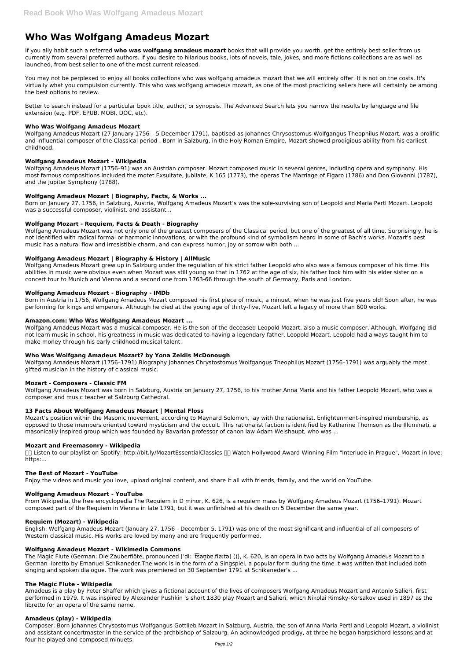# **Who Was Wolfgang Amadeus Mozart**

If you ally habit such a referred **who was wolfgang amadeus mozart** books that will provide you worth, get the entirely best seller from us currently from several preferred authors. If you desire to hilarious books, lots of novels, tale, jokes, and more fictions collections are as well as launched, from best seller to one of the most current released.

You may not be perplexed to enjoy all books collections who was wolfgang amadeus mozart that we will entirely offer. It is not on the costs. It's virtually what you compulsion currently. This who was wolfgang amadeus mozart, as one of the most practicing sellers here will certainly be among the best options to review.

Better to search instead for a particular book title, author, or synopsis. The Advanced Search lets you narrow the results by language and file extension (e.g. PDF, EPUB, MOBI, DOC, etc).

# **Who Was Wolfgang Amadeus Mozart**

Wolfgang Amadeus Mozart (27 January 1756 – 5 December 1791), baptised as Johannes Chrysostomus Wolfgangus Theophilus Mozart, was a prolific and influential composer of the Classical period . Born in Salzburg, in the Holy Roman Empire, Mozart showed prodigious ability from his earliest childhood.

# **Wolfgang Amadeus Mozart - Wikipedia**

Wolfgang Amadeus Mozart (1756–91) was an Austrian composer. Mozart composed music in several genres, including opera and symphony. His most famous compositions included the motet Exsultate, Jubilate, K 165 (1773), the operas The Marriage of Figaro (1786) and Don Giovanni (1787), and the Jupiter Symphony (1788).

# **Wolfgang Amadeus Mozart | Biography, Facts, & Works ...**

Born on January 27, 1756, in Salzburg, Austria, Wolfgang Amadeus Mozart's was the sole-surviving son of Leopold and Maria Pertl Mozart. Leopold was a successful composer, violinist, and assistant...

#### **Wolfgang Mozart - Requiem, Facts & Death - Biography**

Wolfgang Amadeus Mozart was not only one of the greatest composers of the Classical period, but one of the greatest of all time. Surprisingly, he is not identified with radical formal or harmonic innovations, or with the profound kind of symbolism heard in some of Bach's works. Mozart's best music has a natural flow and irresistible charm, and can express humor, joy or sorrow with both ...

 $\Pi$  Listen to our playlist on Spotify: http://bit.ly/MozartEssentialClassics  $\Pi$  Watch Hollywood Award-Winning Film "Interlude in Prague", Mozart in love: https:...

# **Wolfgang Amadeus Mozart | Biography & History | AllMusic**

English: Wolfgang Amadeus Mozart (January 27, 1756 - December 5, 1791) was one of the most significant and influential of all composers of Western classical music. His works are loved by many and are frequently performed.

Wolfgang Amadeus Mozart grew up in Salzburg under the regulation of his strict father Leopold who also was a famous composer of his time. His abilities in music were obvious even when Mozart was still young so that in 1762 at the age of six, his father took him with his elder sister on a concert tour to Munich and Vienna and a second one from 1763-66 through the south of Germany, Paris and London.

# **Wolfgang Amadeus Mozart - Biography - IMDb**

Born in Austria in 1756, Wolfgang Amadeus Mozart composed his first piece of music, a minuet, when he was just five years old! Soon after, he was performing for kings and emperors. Although he died at the young age of thirty-five, Mozart left a legacy of more than 600 works.

# **Amazon.com: Who Was Wolfgang Amadeus Mozart ...**

Wolfgang Amadeus Mozart was a musical composer. He is the son of the deceased Leopold Mozart, also a music composer. Although, Wolfgang did not learn music in school, his greatness in music was dedicated to having a legendary father, Leopold Mozart. Leopold had always taught him to make money through his early childhood musical talent.

# **Who Was Wolfgang Amadeus Mozart? by Yona Zeldis McDonough**

Wolfgang Amadeus Mozart (1756–1791) Biography Johannes Chrystostomus Wolfgangus Theophilus Mozart (1756–1791) was arguably the most gifted musician in the history of classical music.

# **Mozart - Composers - Classic FM**

Wolfgang Amadeus Mozart was born in Salzburg, Austria on January 27, 1756, to his mother Anna Maria and his father Leopold Mozart, who was a composer and music teacher at Salzburg Cathedral.

# **13 Facts About Wolfgang Amadeus Mozart | Mental Floss**

Mozart's position within the Masonic movement, according to Maynard Solomon, lay with the rationalist, Enlightenment-inspired membership, as opposed to those members oriented toward mysticism and the occult. This rationalist faction is identified by Katharine Thomson as the Illuminati, a masonically inspired group which was founded by Bavarian professor of canon law Adam Weishaupt, who was ...

#### **Mozart and Freemasonry - Wikipedia**

#### **The Best of Mozart - YouTube**

Enjoy the videos and music you love, upload original content, and share it all with friends, family, and the world on YouTube.

#### **Wolfgang Amadeus Mozart - YouTube**

From Wikipedia, the free encyclopedia The Requiem in D minor, K. 626, is a requiem mass by Wolfgang Amadeus Mozart (1756–1791). Mozart composed part of the Requiem in Vienna in late 1791, but it was unfinished at his death on 5 December the same year.

#### **Requiem (Mozart) - Wikipedia**

# **Wolfgang Amadeus Mozart - Wikimedia Commons**

The Magic Flute (German: Die Zauberflöte, pronounced [ˈdiː ˈt͡saʊ̯bɐˌfløːtə] ()), K. 620, is an opera in two acts by Wolfgang Amadeus Mozart to a German libretto by Emanuel Schikaneder.The work is in the form of a Singspiel, a popular form during the time it was written that included both singing and spoken dialogue. The work was premiered on 30 September 1791 at Schikaneder's ...

# **The Magic Flute - Wikipedia**

Amadeus is a play by Peter Shaffer which gives a fictional account of the lives of composers Wolfgang Amadeus Mozart and Antonio Salieri, first performed in 1979. It was inspired by Alexander Pushkin 's short 1830 play Mozart and Salieri, which Nikolai Rimsky-Korsakov used in 1897 as the libretto for an opera of the same name.

#### **Amadeus (play) - Wikipedia**

Composer. Born Johannes Chrysostomus Wolfgangus Gottlieb Mozart in Salzburg, Austria, the son of Anna Maria Pertl and Leopold Mozart, a violinist and assistant concertmaster in the service of the archbishop of Salzburg. An acknowledged prodigy, at three he began harpsichord lessons and at four he played and composed minuets.